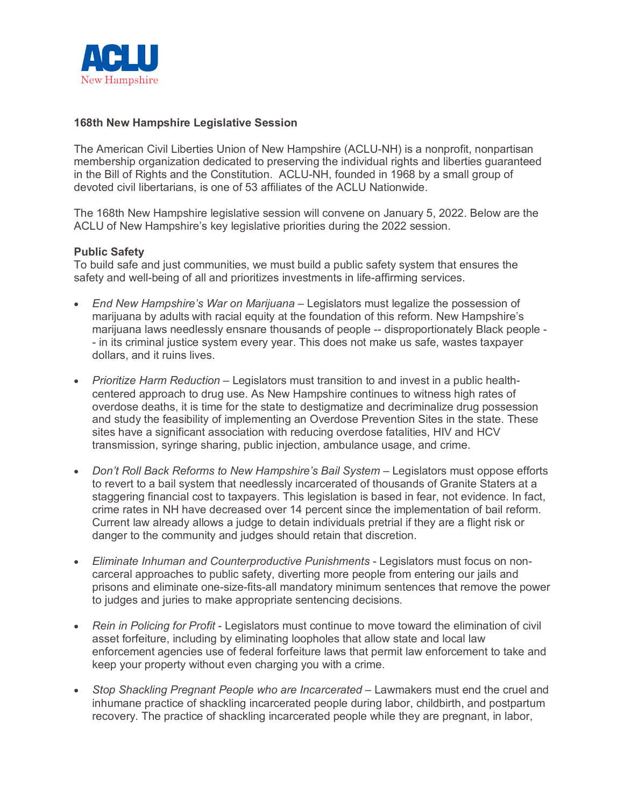

### **168th New Hampshire Legislative Session**

The American Civil Liberties Union of New Hampshire (ACLU-NH) is a nonprofit, nonpartisan membership organization dedicated to preserving the individual rights and liberties guaranteed in the Bill of Rights and the Constitution. ACLU-NH, founded in 1968 by a small group of devoted civil libertarians, is one of 53 affiliates of the ACLU Nationwide.

The 168th New Hampshire legislative session will convene on January 5, 2022. Below are the ACLU of New Hampshire's key legislative priorities during the 2022 session.

### **Public Safety**

To build safe and just communities, we must build a public safety system that ensures the safety and well-being of all and prioritizes investments in life-affirming services.

- *End New Hampshire's War on Marijuana* Legislators must legalize the possession of marijuana by adults with racial equity at the foundation of this reform. New Hampshire's marijuana laws needlessly ensnare thousands of people -- disproportionately Black people - - in its criminal justice system every year. This does not make us safe, wastes taxpayer dollars, and it ruins lives.
- *Prioritize Harm Reduction* Legislators must transition to and invest in a public healthcentered approach to drug use. As New Hampshire continues to witness high rates of overdose deaths, it is time for the state to destigmatize and decriminalize drug possession and study the feasibility of implementing an Overdose Prevention Sites in the state. These sites have a significant association with reducing overdose fatalities, HIV and HCV transmission, syringe sharing, public injection, ambulance usage, and crime.
- *Don't Roll Back Reforms to New Hampshire's Bail System –* Legislators must oppose efforts to revert to a bail system that needlessly incarcerated of thousands of Granite Staters at a staggering financial cost to taxpayers. This legislation is based in fear, not evidence. In fact, crime rates in NH have decreased over 14 percent since the implementation of bail reform. Current law already allows a judge to detain individuals pretrial if they are a flight risk or danger to the community and judges should retain that discretion.
- *Eliminate Inhuman and Counterproductive Punishments* Legislators must focus on noncarceral approaches to public safety, diverting more people from entering our jails and prisons and eliminate one-size-fits-all mandatory minimum sentences that remove the power to judges and juries to make appropriate sentencing decisions.
- *Rein in Policing for Profit* Legislators must continue to move toward the elimination of civil asset forfeiture, including by eliminating loopholes that allow state and local law enforcement agencies use of federal forfeiture laws that permit law enforcement to take and keep your property without even charging you with a crime.
- *Stop Shackling Pregnant People who are Incarcerated –* Lawmakers must end the cruel and inhumane practice of shackling incarcerated people during labor, childbirth, and postpartum recovery. The practice of shackling incarcerated people while they are pregnant, in labor,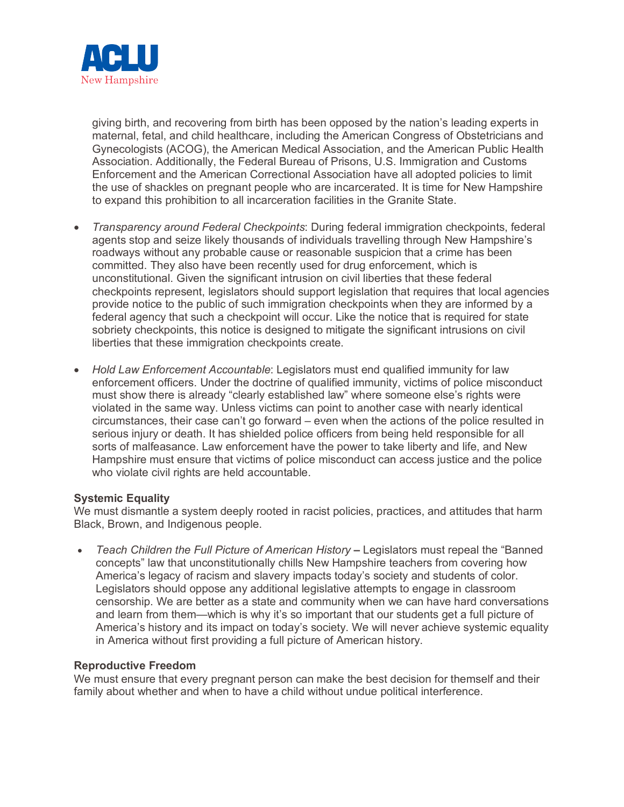

giving birth, and recovering from birth has been opposed by the nation's leading experts in maternal, fetal, and child healthcare, including the American Congress of Obstetricians and Gynecologists (ACOG), the American Medical Association, and the American Public Health Association. Additionally, the Federal Bureau of Prisons, U.S. Immigration and Customs Enforcement and the American Correctional Association have all adopted policies to limit the use of shackles on pregnant people who are incarcerated. It is time for New Hampshire to expand this prohibition to all incarceration facilities in the Granite State.

- *Transparency around Federal Checkpoints*: During federal immigration checkpoints, federal agents stop and seize likely thousands of individuals travelling through New Hampshire's roadways without any probable cause or reasonable suspicion that a crime has been committed. They also have been recently used for drug enforcement, which is unconstitutional. Given the significant intrusion on civil liberties that these federal checkpoints represent, legislators should support legislation that requires that local agencies provide notice to the public of such immigration checkpoints when they are informed by a federal agency that such a checkpoint will occur. Like the notice that is required for state sobriety checkpoints, this notice is designed to mitigate the significant intrusions on civil liberties that these immigration checkpoints create.
- *Hold Law Enforcement Accountable*: Legislators must end qualified immunity for law enforcement officers. Under the doctrine of qualified immunity, victims of police misconduct must show there is already "clearly established law" where someone else's rights were violated in the same way. Unless victims can point to another case with nearly identical circumstances, their case can't go forward – even when the actions of the police resulted in serious injury or death. It has shielded police officers from being held responsible for all sorts of malfeasance. Law enforcement have the power to take liberty and life, and New Hampshire must ensure that victims of police misconduct can access justice and the police who violate civil rights are held accountable.

# **Systemic Equality**

We must dismantle a system deeply rooted in racist policies, practices, and attitudes that harm Black, Brown, and Indigenous people.

• *Teach Children the Full Picture of American History* **–** Legislators must repeal the "Banned concepts" law that unconstitutionally chills New Hampshire teachers from covering how America's legacy of racism and slavery impacts today's society and students of color. Legislators should oppose any additional legislative attempts to engage in classroom censorship. We are better as a state and community when we can have hard conversations and learn from them—which is why it's so important that our students get a full picture of America's history and its impact on today's society. We will never achieve systemic equality in America without first providing a full picture of American history.

#### **Reproductive Freedom**

We must ensure that every pregnant person can make the best decision for themself and their family about whether and when to have a child without undue political interference.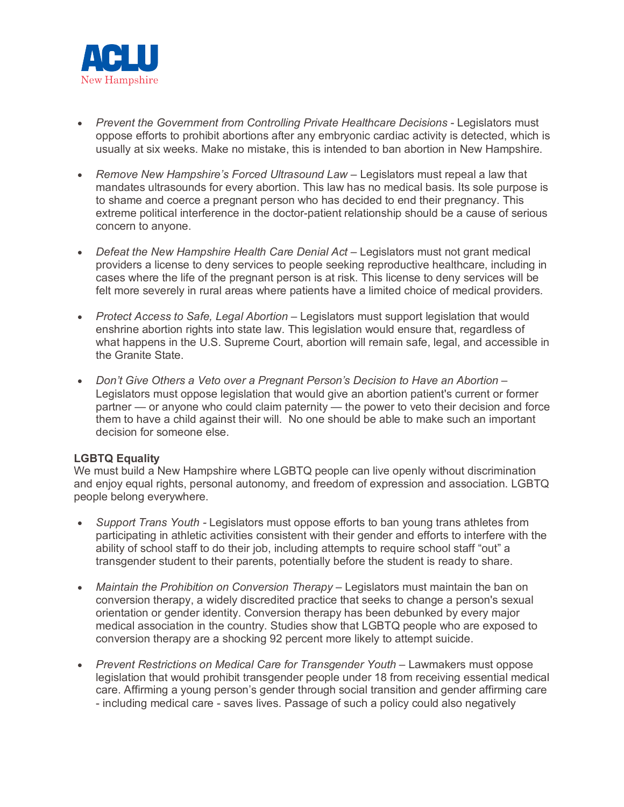

- *Prevent the Government from Controlling Private Healthcare Decisions* Legislators must oppose efforts to prohibit abortions after any embryonic cardiac activity is detected, which is usually at six weeks. Make no mistake, this is intended to ban abortion in New Hampshire.
- Remove New Hampshire's Forced Ultrasound Law Legislators must repeal a law that mandates ultrasounds for every abortion. This law has no medical basis. Its sole purpose is to shame and coerce a pregnant person who has decided to end their pregnancy. This extreme political interference in the doctor-patient relationship should be a cause of serious concern to anyone.
- *Defeat the New Hampshire Health Care Denial Act –* Legislators must not grant medical providers a license to deny services to people seeking reproductive healthcare, including in cases where the life of the pregnant person is at risk. This license to deny services will be felt more severely in rural areas where patients have a limited choice of medical providers.
- *Protect Access to Safe, Legal Abortion –* Legislators must support legislation that would enshrine abortion rights into state law. This legislation would ensure that, regardless of what happens in the U.S. Supreme Court, abortion will remain safe, legal, and accessible in the Granite State.
- *Don't Give Others a Veto over a Pregnant Person's Decision to Have an Abortion –* Legislators must oppose legislation that would give an abortion patient's current or former partner — or anyone who could claim paternity — the power to veto their decision and force them to have a child against their will. No one should be able to make such an important decision for someone else.

# **LGBTQ Equality**

We must build a New Hampshire where LGBTQ people can live openly without discrimination and enjoy equal rights, personal autonomy, and freedom of expression and association. LGBTQ people belong everywhere.

- *Support Trans Youth -* Legislators must oppose efforts to ban young trans athletes from participating in athletic activities consistent with their gender and efforts to interfere with the ability of school staff to do their job, including attempts to require school staff "out" a transgender student to their parents, potentially before the student is ready to share.
- *Maintain the Prohibition on Conversion Therapy* Legislators must maintain the ban on conversion therapy, a widely discredited practice that seeks to change a person's sexual orientation or gender identity. Conversion therapy has been debunked by every major medical association in the country. Studies show that LGBTQ people who are exposed to conversion therapy are a shocking 92 percent more likely to attempt suicide.
- *Prevent Restrictions on Medical Care for Transgender Youth –* Lawmakers must oppose legislation that would prohibit transgender people under 18 from receiving essential medical care. Affirming a young person's gender through social transition and gender affirming care - including medical care - saves lives. Passage of such a policy could also negatively